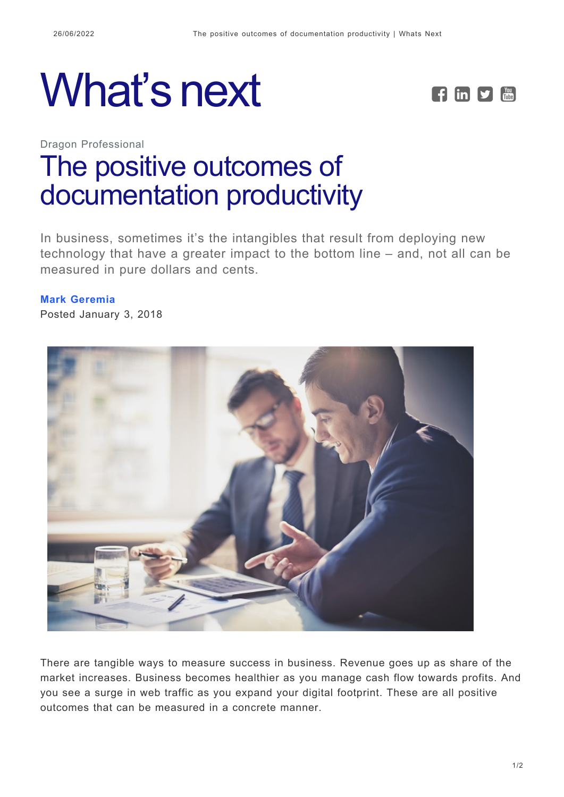



Dragon Professional

## [The positive outcomes of](https://whatsnext.nuance.com/dragon-professional/mark-geremia-positive-outcomes-documentation-productivity/) [documentation productivity](https://whatsnext.nuance.com/dragon-professional/mark-geremia-positive-outcomes-documentation-productivity/)

In business, sometimes it's the intangibles that result from deploying new technology that have a greater impact to the bottom line – and, not all can be measured in pure dollars and cents.

## **[Mark Geremia](https://whatsnext.nuance.com/author/mark-geremia/)**

Posted January 3, 2018



There are tangible ways to measure success in business. Revenue goes up as share of the market increases. Business becomes healthier as you manage cash flow towards profits. And you see a surge in web traffic as you expand your digital footprint. These are all positive outcomes that can be measured in a concrete manner.